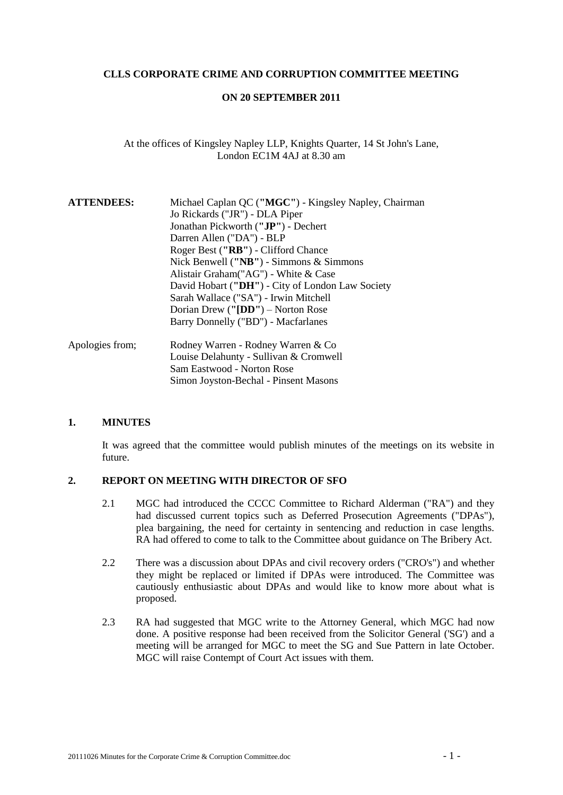### **CLLS CORPORATE CRIME AND CORRUPTION COMMITTEE MEETING**

### **ON 20 SEPTEMBER 2011**

## At the offices of Kingsley Napley LLP, Knights Quarter, 14 St John's Lane, London EC1M 4AJ at 8.30 am

| <b>ATTENDEES:</b> | Michael Caplan QC ("MGC") - Kingsley Napley, Chairman |
|-------------------|-------------------------------------------------------|
|                   | Jo Rickards ("JR") - DLA Piper                        |
|                   | Jonathan Pickworth ("JP") - Dechert                   |
|                   | Darren Allen ("DA") - BLP                             |
|                   | Roger Best ("RB") - Clifford Chance                   |
|                   | Nick Benwell (" $NB$ ") - Simmons & Simmons           |
|                   | Alistair Graham ("AG") - White & Case                 |
|                   | David Hobart ("DH") - City of London Law Society      |
|                   | Sarah Wallace ("SA") - Irwin Mitchell                 |
|                   | Dorian Drew (" $[DD"$ ) – Norton Rose                 |
|                   | Barry Donnelly ("BD") - Macfarlanes                   |
| Apologies from;   | Rodney Warren - Rodney Warren & Co                    |
|                   | Louise Delahunty - Sullivan & Cromwell                |
|                   | Sam Eastwood - Norton Rose                            |
|                   | Simon Joyston-Bechal - Pinsent Masons                 |

#### **1. MINUTES**

It was agreed that the committee would publish minutes of the meetings on its website in future.

# **2. REPORT ON MEETING WITH DIRECTOR OF SFO**

- 2.1 MGC had introduced the CCCC Committee to Richard Alderman ("RA") and they had discussed current topics such as Deferred Prosecution Agreements ("DPAs"), plea bargaining, the need for certainty in sentencing and reduction in case lengths. RA had offered to come to talk to the Committee about guidance on The Bribery Act.
- 2.2 There was a discussion about DPAs and civil recovery orders ("CRO's") and whether they might be replaced or limited if DPAs were introduced. The Committee was cautiously enthusiastic about DPAs and would like to know more about what is proposed.
- 2.3 RA had suggested that MGC write to the Attorney General, which MGC had now done. A positive response had been received from the Solicitor General ('SG') and a meeting will be arranged for MGC to meet the SG and Sue Pattern in late October. MGC will raise Contempt of Court Act issues with them.